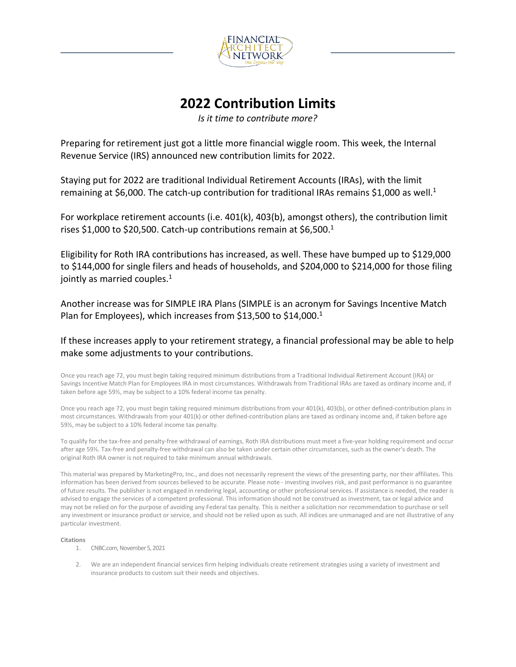

## **2022 Contribution Limits**

*Is it time to contribute more?*

Preparing for retirement just got a little more financial wiggle room. This week, the Internal Revenue Service (IRS) announced new contribution limits for 2022.

Staying put for 2022 are traditional Individual Retirement Accounts (IRAs), with the limit remaining at \$6,000. The catch-up contribution for traditional IRAs remains \$1,000 as well.<sup>1</sup>

For workplace retirement accounts (i.e. 401(k), 403(b), amongst others), the contribution limit rises \$1,000 to \$20,500. Catch-up contributions remain at \$6,500.1

Eligibility for Roth IRA contributions has increased, as well. These have bumped up to \$129,000 to \$144,000 for single filers and heads of households, and \$204,000 to \$214,000 for those filing jointly as married couples. $1$ 

Another increase was for SIMPLE IRA Plans (SIMPLE is an acronym for Savings Incentive Match Plan for Employees), which increases from \$13,500 to \$14,000.<sup>1</sup>

If these increases apply to your retirement strategy, a financial professional may be able to help make some adjustments to your contributions.

Once you reach age 72, you must begin taking required minimum distributions from a Traditional Individual Retirement Account (IRA) or Savings Incentive Match Plan for Employees IRA in most circumstances. Withdrawals from Traditional IRAs are taxed as ordinary income and, if taken before age 59½, may be subject to a 10% federal income tax penalty.

Once you reach age 72, you must begin taking required minimum distributions from your 401(k), 403(b), or other defined-contribution plans in most circumstances. Withdrawals from your 401(k) or other defined-contribution plans are taxed as ordinary income and, if taken before age 59½, may be subject to a 10% federal income tax penalty.

To qualify for the tax-free and penalty-free withdrawal of earnings, Roth IRA distributions must meet a five-year holding requirement and occur after age 59½. Tax-free and penalty-free withdrawal can also be taken under certain other circumstances, such as the owner's death. The original Roth IRA owner is not required to take minimum annual withdrawals.

This material was prepared by MarketingPro, Inc., and does not necessarily represent the views of the presenting party, nor their affiliates. This information has been derived from sources believed to be accurate. Please note - investing involves risk, and past performance is no guarantee of future results. The publisher is not engaged in rendering legal, accounting or other professional services. If assistance is needed, the reader is advised to engage the services of a competent professional. This information should not be construed as investment, tax or legal advice and may not be relied on for the purpose of avoiding any Federal tax penalty. This is neither a solicitation nor recommendation to purchase or sell any investment or insurance product or service, and should not be relied upon as such. All indices are unmanaged and are not illustrative of any particular investment.

## **Citations**

- 1. CNBC.com, November 5, 2021
- 2. We are an independent financial services firm helping individuals create retirement strategies using a variety of investment and insurance products to custom suit their needs and objectives.